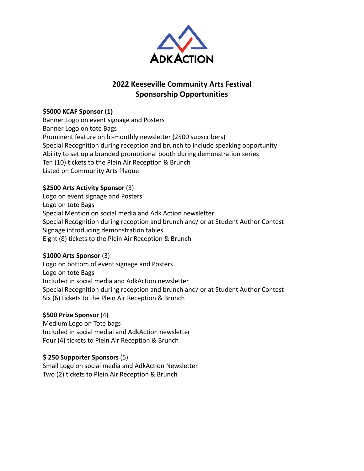

# **2022 Keeseville Community Arts Festival Sponsorship Opportunities**

## **\$5000 KCAF Sponsor (1)**

Banner Logo on event signage and Posters Banner Logo on tote Bags Prominent feature on bi-monthly newsletter (2500 subscribers) Special Recognition during reception and brunch to include speaking opportunity Ability to set up a branded promotional booth during demonstration series Ten (10) tickets to the Plein Air Reception & Brunch Listed on Community Arts Plaque

### **\$2500 Arts Activity Sponsor** (3)

Logo on event signage and Posters Logo on tote Bags Special Mention on social media and Adk Action newsletter Special Recognition during reception and brunch and/ or at Student Author Contest Signage introducing demonstration tables Eight (8) tickets to the Plein Air Reception & Brunch

#### **\$1000 Arts Sponsor** (3)

Logo on bottom of event signage and Posters Logo on tote Bags Included in social media and AdkAction newsletter Special Recognition during reception and brunch and/ or at Student Author Contest Six (6) tickets to the Plein Air Reception & Brunch

#### **\$500 Prize Sponsor** (4)

Medium Logo on Tote bags Included in social medial and AdkAction newsletter Four (4) tickets to Plein Air Reception & Brunch

#### **\$ 250 Supporter Sponsors** (5)

Small Logo on social media and AdkAction Newsletter Two (2) tickets to Plein Air Reception & Brunch